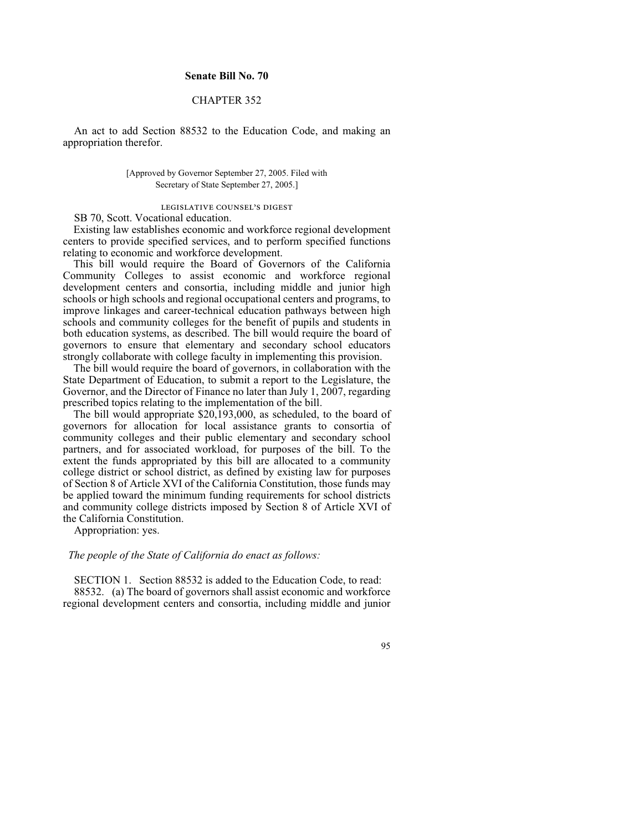## **Senate Bill No. 70**

## CHAPTER 352

An act to add Section 88532 to the Education Code, and making an appropriation therefor.

> [Approved by Governor September 27, 2005. Filed with Secretary of State September 27, 2005.]

## legislative counsel's digest

SB 70, Scott. Vocational education.

Existing law establishes economic and workforce regional development centers to provide specified services, and to perform specified functions relating to economic and workforce development.

This bill would require the Board of Governors of the California Community Colleges to assist economic and workforce regional development centers and consortia, including middle and junior high schools or high schools and regional occupational centers and programs, to improve linkages and career-technical education pathways between high schools and community colleges for the benefit of pupils and students in both education systems, as described. The bill would require the board of governors to ensure that elementary and secondary school educators strongly collaborate with college faculty in implementing this provision.

The bill would require the board of governors, in collaboration with the State Department of Education, to submit a report to the Legislature, the Governor, and the Director of Finance no later than July 1, 2007, regarding prescribed topics relating to the implementation of the bill.

The bill would appropriate \$20,193,000, as scheduled, to the board of governors for allocation for local assistance grants to consortia of community colleges and their public elementary and secondary school partners, and for associated workload, for purposes of the bill. To the extent the funds appropriated by this bill are allocated to a community college district or school district, as defined by existing law for purposes of Section 8 of Article XVI of the California Constitution, those funds may be applied toward the minimum funding requirements for school districts and community college districts imposed by Section 8 of Article XVI of the California Constitution.

Appropriation: yes.

## *The people of the State of California do enact as follows:*

SECTION 1. Section 88532 is added to the Education Code, to read: 88532. (a) The board of governors shall assist economic and workforce regional development centers and consortia, including middle and junior

95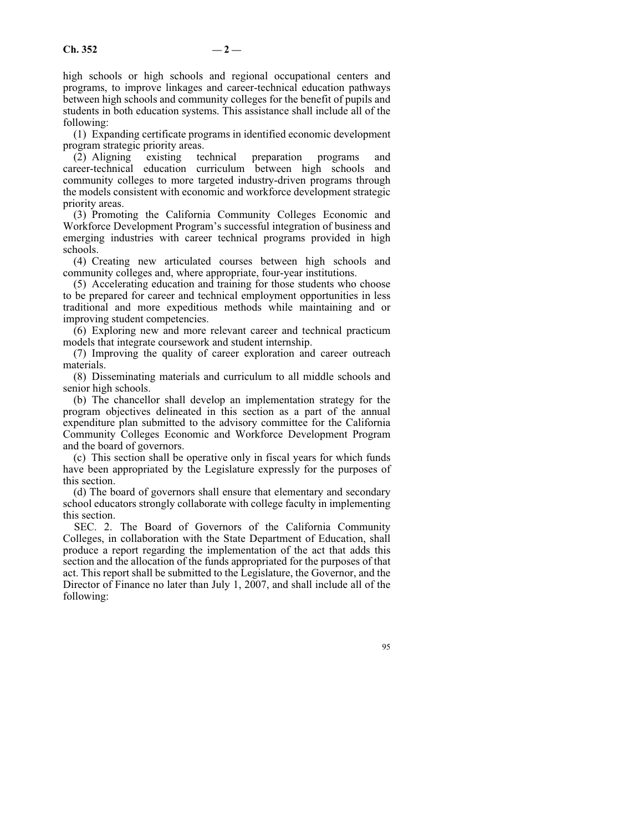high schools or high schools and regional occupational centers and programs, to improve linkages and career-technical education pathways between high schools and community colleges for the benefit of pupils and students in both education systems. This assistance shall include all of the following:

(1) Expanding certificate programs in identified economic development program strategic priority areas.

(2) Aligning existing technical preparation programs and career-technical education curriculum between high schools and community colleges to more targeted industry-driven programs through the models consistent with economic and workforce development strategic priority areas.

(3) Promoting the California Community Colleges Economic and Workforce Development Program's successful integration of business and emerging industries with career technical programs provided in high schools.

(4) Creating new articulated courses between high schools and community colleges and, where appropriate, four-year institutions.

(5) Accelerating education and training for those students who choose to be prepared for career and technical employment opportunities in less traditional and more expeditious methods while maintaining and or improving student competencies.

(6) Exploring new and more relevant career and technical practicum models that integrate coursework and student internship.

(7) Improving the quality of career exploration and career outreach materials.

(8) Disseminating materials and curriculum to all middle schools and senior high schools.

(b) The chancellor shall develop an implementation strategy for the program objectives delineated in this section as a part of the annual expenditure plan submitted to the advisory committee for the California Community Colleges Economic and Workforce Development Program and the board of governors.

(c) This section shall be operative only in fiscal years for which funds have been appropriated by the Legislature expressly for the purposes of this section.

(d) The board of governors shall ensure that elementary and secondary school educators strongly collaborate with college faculty in implementing this section.

SEC. 2. The Board of Governors of the California Community Colleges, in collaboration with the State Department of Education, shall produce a report regarding the implementation of the act that adds this section and the allocation of the funds appropriated for the purposes of that act. This report shall be submitted to the Legislature, the Governor, and the Director of Finance no later than July 1, 2007, and shall include all of the following:

95